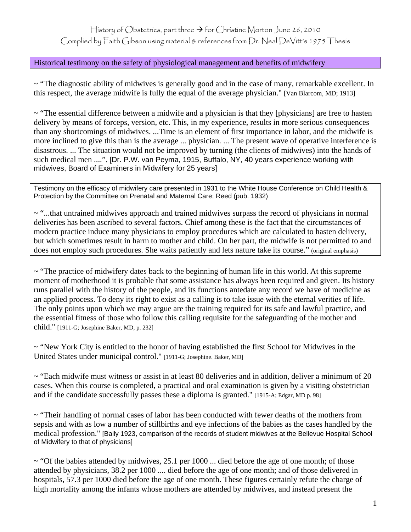History of Obstetrics, part three  $\rightarrow$  for Christine Morton June 26, 2010

Complied by Faith Gibson using material & references from Dr. Neal DeVitt's 1975 Thesis

## Historical testimony on the safety of physiological management and benefits of midwifery

~ "The diagnostic ability of midwives is generally good and in the case of many, remarkable excellent. In this respect, the average midwife is fully the equal of the average physician." [Van Blarcom, MD; 1913]

 $\sim$  "The essential difference between a midwife and a physician is that they [physicians] are free to hasten delivery by means of forceps, version, etc. This, in my experience, results in more serious consequences than any shortcomings of midwives. ...Time is an element of first importance in labor, and the midwife is more inclined to give this than is the average ... physician. ... The present wave of operative interference is disastrous. ... The situation would not be improved by turning (the clients of midwives) into the hands of such medical men ....". [Dr. P.W. van Peyma, 1915, Buffalo, NY, 40 years experience working with midwives, Board of Examiners in Midwifery for 25 years]

Testimony on the efficacy of midwifery care presented in 1931 to the White House Conference on Child Health & Protection by the Committee on Prenatal and Maternal Care; Reed (pub. 1932)

~ "...that untrained midwives approach and trained midwives surpass the record of physicians in normal deliveries has been ascribed to several factors. Chief among these is the fact that the circumstances of modern practice induce many physicians to employ procedures which are calculated to hasten delivery, but which sometimes result in harm to mother and child. On her part, the midwife is not permitted to and does not employ such procedures. She waits patiently and lets nature take its course." (original emphasis)

 $\sim$  "The practice of midwifery dates back to the beginning of human life in this world. At this supreme moment of motherhood it is probable that some assistance has always been required and given. Its history runs parallel with the history of the people, and its functions antedate any record we have of medicine as an applied process. To deny its right to exist as a calling is to take issue with the eternal verities of life. The only points upon which we may argue are the training required for its safe and lawful practice, and the essential fitness of those who follow this calling requisite for the safeguarding of the mother and child." [1911-G; Josephine Baker, MD, p. 232]

~ "New York City is entitled to the honor of having established the first School for Midwives in the United States under municipal control." [1911-G; Josephine. Baker, MD]

 $\sim$  "Each midwife must witness or assist in at least 80 deliveries and in addition, deliver a minimum of 20 cases. When this course is completed, a practical and oral examination is given by a visiting obstetrician and if the candidate successfully passes these a diploma is granted." [1915-A; Edgar, MD p. 98]

 $\sim$  "Their handling of normal cases of labor has been conducted with fewer deaths of the mothers from sepsis and with as low a number of stillbirths and eye infections of the babies as the cases handled by the medical profession." [Baily 1923, comparison of the records of student midwives at the Bellevue Hospital School of Midwifery to that of physicians]

~ "Of the babies attended by midwives, 25.1 per 1000 ... died before the age of one month; of those attended by physicians, 38.2 per 1000 .... died before the age of one month; and of those delivered in hospitals, 57.3 per 1000 died before the age of one month. These figures certainly refute the charge of high mortality among the infants whose mothers are attended by midwives, and instead present the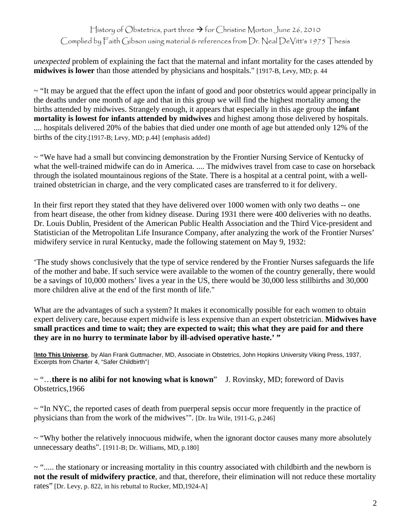History of Obstetrics, part three  $\rightarrow$  for Christine Morton June 26, 2010 Complied by Faith Gibson using material & references from Dr. Neal DeVitt's 1975 Thesis

*unexpected* problem of explaining the fact that the maternal and infant mortality for the cases attended by **midwives is lower** than those attended by physicians and hospitals." [1917-B, Levy, MD; p. 44

~ "It may be argued that the effect upon the infant of good and poor obstetrics would appear principally in the deaths under one month of age and that in this group we will find the highest mortality among the births attended by midwives. Strangely enough, it appears that especially in this age group the **infant mortality is lowest for infants attended by midwives** and highest among those delivered by hospitals. .... hospitals delivered 20% of the babies that died under one month of age but attended only 12% of the births of the city.[1917-B; Levy, MD; p.44] {emphasis added}

 $\sim$  "We have had a small but convincing demonstration by the Frontier Nursing Service of Kentucky of what the well-trained midwife can do in America. .... The midwives travel from case to case on horseback through the isolated mountainous regions of the State. There is a hospital at a central point, with a welltrained obstetrician in charge, and the very complicated cases are transferred to it for delivery.

In their first report they stated that they have delivered over 1000 women with only two deaths -- one from heart disease, the other from kidney disease. During 1931 there were 400 deliveries with no deaths. Dr. Louis Dublin, President of the American Public Health Association and the Third Vice-president and Statistician of the Metropolitan Life Insurance Company, after analyzing the work of the Frontier Nurses' midwifery service in rural Kentucky, made the following statement on May 9, 1932:

'The study shows conclusively that the type of service rendered by the Frontier Nurses safeguards the life of the mother and babe. If such service were available to the women of the country generally, there would be a savings of 10,000 mothers' lives a year in the US, there would be 30,000 less stillbirths and 30,000 more children alive at the end of the first month of life."

What are the advantages of such a system? It makes it economically possible for each women to obtain expert delivery care, because expert midwife is less expensive than an expert obstetrician. **Midwives have small practices and time to wait; they are expected to wait; this what they are paid for and there they are in no hurry to terminate labor by ill-advised operative haste.' "** 

[**Into This Universe**, by Alan Frank Guttmacher, MD, Associate in Obstetrics, John Hopkins University Viking Press, 1937, Excerpts from Charter 4, "Safer Childbirth"]

~ "…**there is no alibi for not knowing what is known**" J. Rovinsky, MD; foreword of Davis Obstetrics,1966

~ "In NYC, the reported cases of death from puerperal sepsis occur more frequently in the practice of physicians than from the work of the midwives'". [Dr. Ira Wile, 1911-G, p.246]

~ "Why bother the relatively innocuous midwife, when the ignorant doctor causes many more absolutely unnecessary deaths". [1911-B; Dr. Williams, MD, p.180]

 $\sim$  "..... the stationary or increasing mortality in this country associated with childbirth and the newborn is **not the result of midwifery practice**, and that, therefore, their elimination will not reduce these mortality rates" [Dr. Levy, p. 822, in his rebuttal to Rucker, MD,1924-A]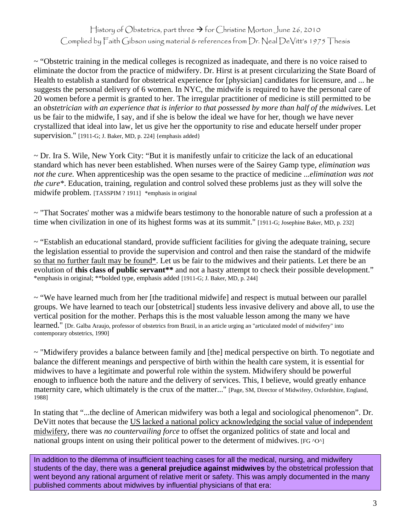History of Obstetrics, part three  $\rightarrow$  for Christine Morton June 26, 2010 Complied by Faith Gibson using material & references from Dr. Neal DeVitt's 1975 Thesis

 $\sim$  "Obstetric training in the medical colleges is recognized as inadequate, and there is no voice raised to eliminate the doctor from the practice of midwifery. Dr. Hirst is at present circularizing the State Board of Health to establish a standard for obstetrical experience for [physician] candidates for licensure, and ... he suggests the personal delivery of 6 women. In NYC, the midwife is required to have the personal care of 20 women before a permit is granted to her. The irregular practitioner of medicine is still permitted to be an *obstetrician with an experience that is inferior to that possessed by more than half of the midwives*. Let us be fair to the midwife, I say, and if she is below the ideal we have for her, though we have never crystallized that ideal into law, let us give her the opportunity to rise and educate herself under proper supervision." [1911-G; J. Baker, MD, p. 224] {emphasis added}

 $\sim$  Dr. Ira S. Wile, New York City: "But it is manifestly unfair to criticize the lack of an educational standard which has never been established. When nurses were of the Sairey Gamp type, *elimination was not the cure.* When apprenticeship was the open sesame to the practice of medicine ...*elimination was not the cure\**. Education, training, regulation and control solved these problems just as they will solve the midwife problem. [TASSPIM ? 1911] \*emphasis in original

~ "That Socrates' mother was a midwife bears testimony to the honorable nature of such a profession at a time when civilization in one of its highest forms was at its summit." [1911-G; Josephine Baker, MD, p. 232]

 $\sim$  "Establish an educational standard, provide sufficient facilities for giving the adequate training, secure the legislation essential to provide the supervision and control and then raise the standard of the midwife so that no further fault may be found\*. Let us be fair to the midwives and their patients. Let there be an evolution of **this class of public servant**\*\* and not a hasty attempt to check their possible development." \*emphasis in original; \*\*bolded type, emphasis added [1911-G; J. Baker, MD, p. 244]

 $\sim$  "We have learned much from her [the traditional midwife] and respect is mutual between our parallel groups. We have learned to teach our [obstetrical] students less invasive delivery and above all, to use the vertical position for the mother. Perhaps this is the most valuable lesson among the many we have learned." [Dr. Galba Araujo, professor of obstetrics from Brazil, in an article urging an "articulated model of midwifery" into contemporary obstetrics, 1990]

~ "Midwifery provides a balance between family and [the] medical perspective on birth. To negotiate and balance the different meanings and perspective of birth within the health care system, it is essential for midwives to have a legitimate and powerful role within the system. Midwifery should be powerful enough to influence both the nature and the delivery of services. This, I believe, would greatly enhance maternity care, which ultimately is the crux of the matter..." [Page, SM, Director of Midwifery, Oxfordshire, England, 1988]

In stating that "...the decline of American midwifery was both a legal and sociological phenomenon". Dr. DeVitt notes that because the US lacked a national policy acknowledging the social value of independent midwifery, there was *no countervailing force* to offset the organized politics of state and local and national groups intent on using their political power to the determent of midwives. [FG  $\sim$ O $\sim$ ]

In addition to the dilemma of insufficient teaching cases for all the medical, nursing, and midwifery students of the day, there was a **general prejudice against midwives** by the obstetrical profession that went beyond any rational argument of relative merit or safety. This was amply documented in the many published comments about midwives by influential physicians of that era: